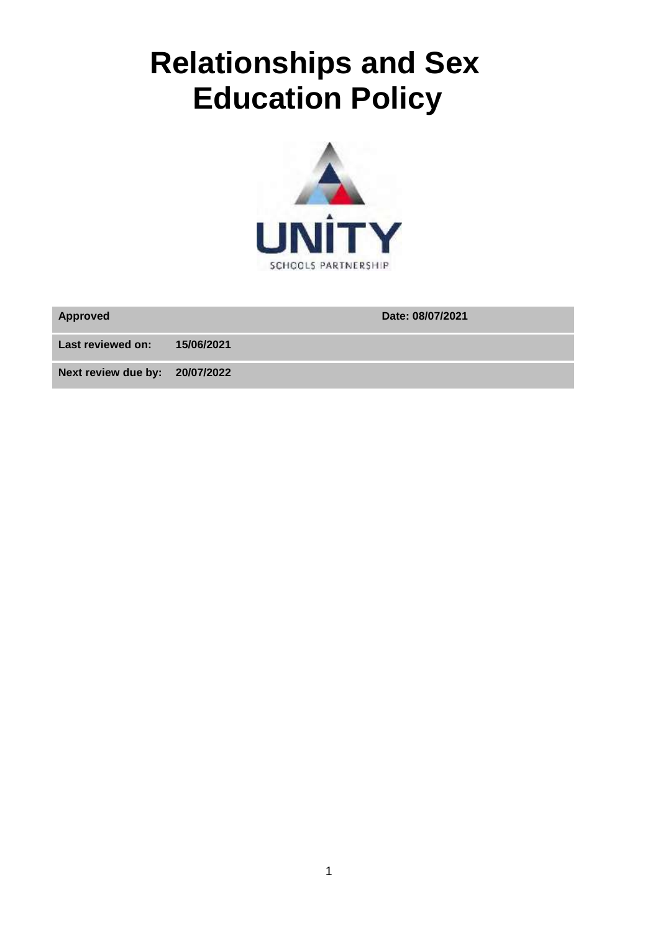# **Relationships and Sex Education Policy**



**Approved Date: 08/07/2021**

**Last reviewed on: 15/06/2021**

**Next review due by: 20/07/2022**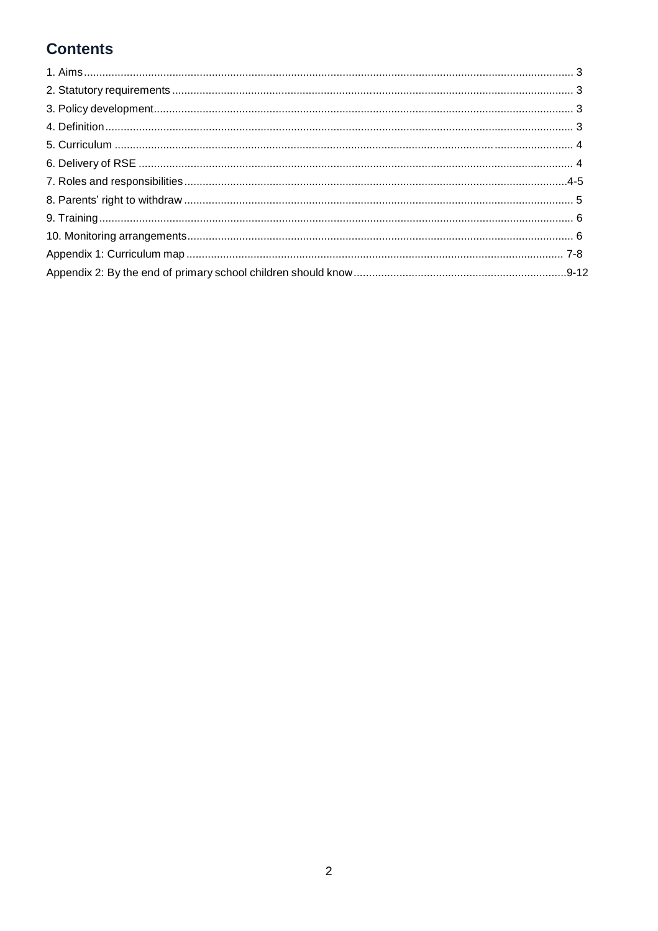# **Contents**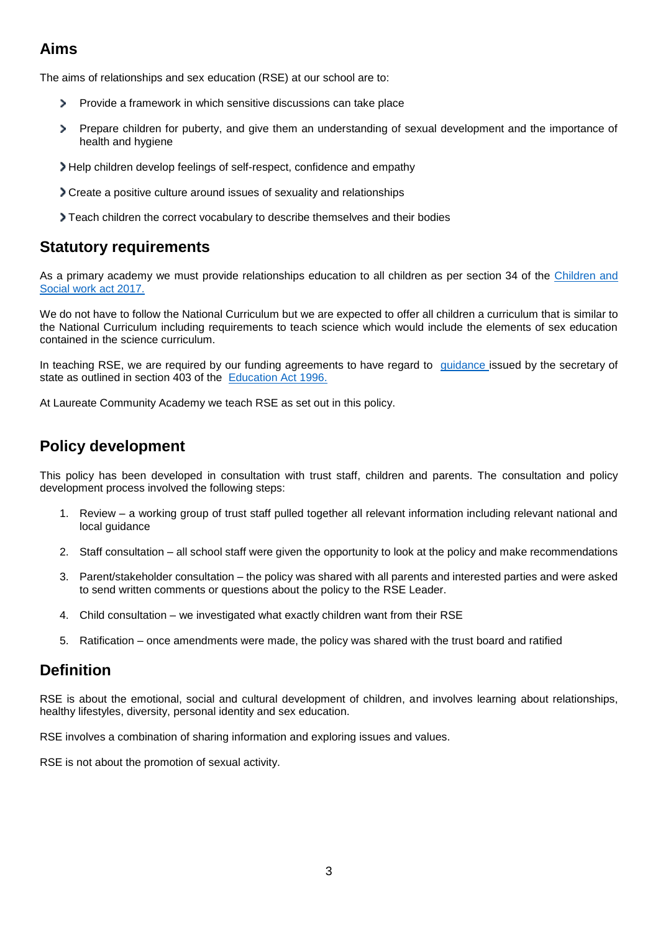# **Aims**

The aims of relationships and sex education (RSE) at our school are to:

- Provide a framework in which sensitive discussions can take place  $\mathbf{z}$
- $\overline{ }$ Prepare children for puberty, and give them an understanding of sexual development and the importance of health and hygiene
- Help children develop feelings of self-respect, confidence and empathy
- Create a positive culture around issues of sexuality and relationships
- Teach children the correct vocabulary to describe themselves and their bodies

### **Statutory requirements**

As a primary academy we must provide relationships education to all children as per section 34 of the Children and [Social work act 2017.](http://www.legislation.gov.uk/ukpga/2017/16/section/34/enacted)

We do not have to follow the National Curriculum but we are expected to offer all children a curriculum that is similar to the National Curriculum including requirements to teach science which would include the elements of sex education contained in the science curriculum.

In teaching RSE, we are required by our funding agreements to have regard to quidance issued by the secretary of state as outlined in section 403 of the [Education Act 1996.](http://www.legislation.gov.uk/ukpga/1996/56/contents)

At Laureate Community Academy we teach RSE as set out in this policy.

# **Policy development**

This policy has been developed in consultation with trust staff, children and parents. The consultation and policy development process involved the following steps:

- 1. Review a working group of trust staff pulled together all relevant information including relevant national and local guidance
- 2. Staff consultation all school staff were given the opportunity to look at the policy and make recommendations
- 3. Parent/stakeholder consultation the policy was shared with all parents and interested parties and were asked to send written comments or questions about the policy to the RSE Leader.
- 4. Child consultation we investigated what exactly children want from their RSE
- 5. Ratification once amendments were made, the policy was shared with the trust board and ratified

## **Definition**

RSE is about the emotional, social and cultural development of children, and involves learning about relationships, healthy lifestyles, diversity, personal identity and sex education.

RSE involves a combination of sharing information and exploring issues and values.

RSE is not about the promotion of sexual activity.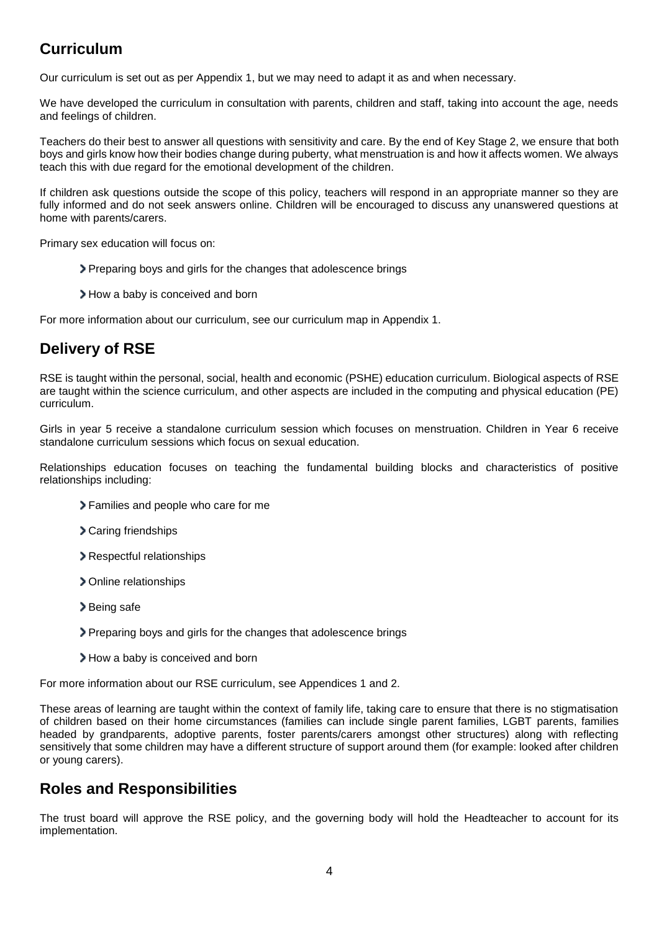# **Curriculum**

Our curriculum is set out as per Appendix 1, but we may need to adapt it as and when necessary.

We have developed the curriculum in consultation with parents, children and staff, taking into account the age, needs and feelings of children.

Teachers do their best to answer all questions with sensitivity and care. By the end of Key Stage 2, we ensure that both boys and girls know how their bodies change during puberty, what menstruation is and how it affects women. We always teach this with due regard for the emotional development of the children.

If children ask questions outside the scope of this policy, teachers will respond in an appropriate manner so they are fully informed and do not seek answers online. Children will be encouraged to discuss any unanswered questions at home with parents/carers.

Primary sex education will focus on:

- Preparing boys and girls for the changes that adolescence brings
- How a baby is conceived and born

For more information about our curriculum, see our curriculum map in Appendix 1.

# **Delivery of RSE**

RSE is taught within the personal, social, health and economic (PSHE) education curriculum. Biological aspects of RSE are taught within the science curriculum, and other aspects are included in the computing and physical education (PE) curriculum.

Girls in year 5 receive a standalone curriculum session which focuses on menstruation. Children in Year 6 receive standalone curriculum sessions which focus on sexual education.

Relationships education focuses on teaching the fundamental building blocks and characteristics of positive relationships including:

- Families and people who care for me
- Caring friendships
- Respectful relationships
- Online relationships
- > Being safe
- Preparing boys and girls for the changes that adolescence brings
- > How a baby is conceived and born

For more information about our RSE curriculum, see Appendices 1 and 2.

These areas of learning are taught within the context of family life, taking care to ensure that there is no stigmatisation of children based on their home circumstances (families can include single parent families, LGBT parents, families headed by grandparents, adoptive parents, foster parents/carers amongst other structures) along with reflecting sensitively that some children may have a different structure of support around them (for example: looked after children or young carers).

## **Roles and Responsibilities**

The trust board will approve the RSE policy, and the governing body will hold the Headteacher to account for its implementation.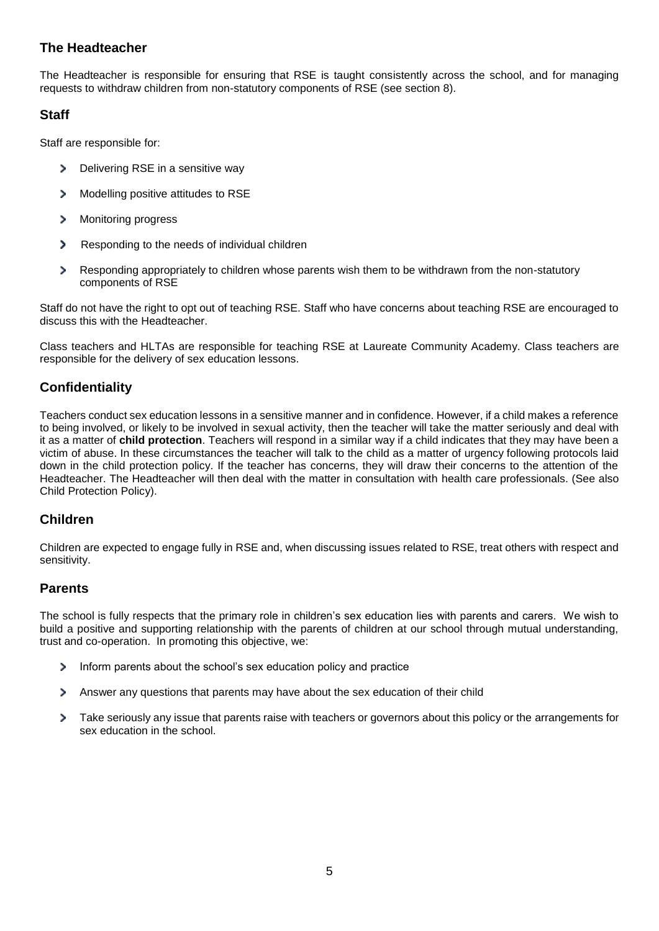#### **The Headteacher**

The Headteacher is responsible for ensuring that RSE is taught consistently across the school, and for managing requests to withdraw children from non-statutory components of RSE (see section 8).

#### **Staff**

Staff are responsible for:

- У Delivering RSE in a sensitive way
- $\mathbf{z}$ Modelling positive attitudes to RSE
- > Monitoring progress
- Responding to the needs of individual children
- $\mathbf{A}$ Responding appropriately to children whose parents wish them to be withdrawn from the non-statutory components of RSE

Staff do not have the right to opt out of teaching RSE. Staff who have concerns about teaching RSE are encouraged to discuss this with the Headteacher.

Class teachers and HLTAs are responsible for teaching RSE at Laureate Community Academy. Class teachers are responsible for the delivery of sex education lessons.

#### **Confidentiality**

Teachers conduct sex education lessons in a sensitive manner and in confidence. However, if a child makes a reference to being involved, or likely to be involved in sexual activity, then the teacher will take the matter seriously and deal with it as a matter of **child protection**. Teachers will respond in a similar way if a child indicates that they may have been a victim of abuse. In these circumstances the teacher will talk to the child as a matter of urgency following protocols laid down in the child protection policy. If the teacher has concerns, they will draw their concerns to the attention of the Headteacher. The Headteacher will then deal with the matter in consultation with health care professionals. (See also Child Protection Policy).

#### **Children**

Children are expected to engage fully in RSE and, when discussing issues related to RSE, treat others with respect and sensitivity.

#### **Parents**

The school is fully respects that the primary role in children's sex education lies with parents and carers. We wish to build a positive and supporting relationship with the parents of children at our school through mutual understanding, trust and co-operation. In promoting this objective, we:

- $\rightarrow$ Inform parents about the school's sex education policy and practice
- $\mathbf{A}$ Answer any questions that parents may have about the sex education of their child
- > Take seriously any issue that parents raise with teachers or governors about this policy or the arrangements for sex education in the school.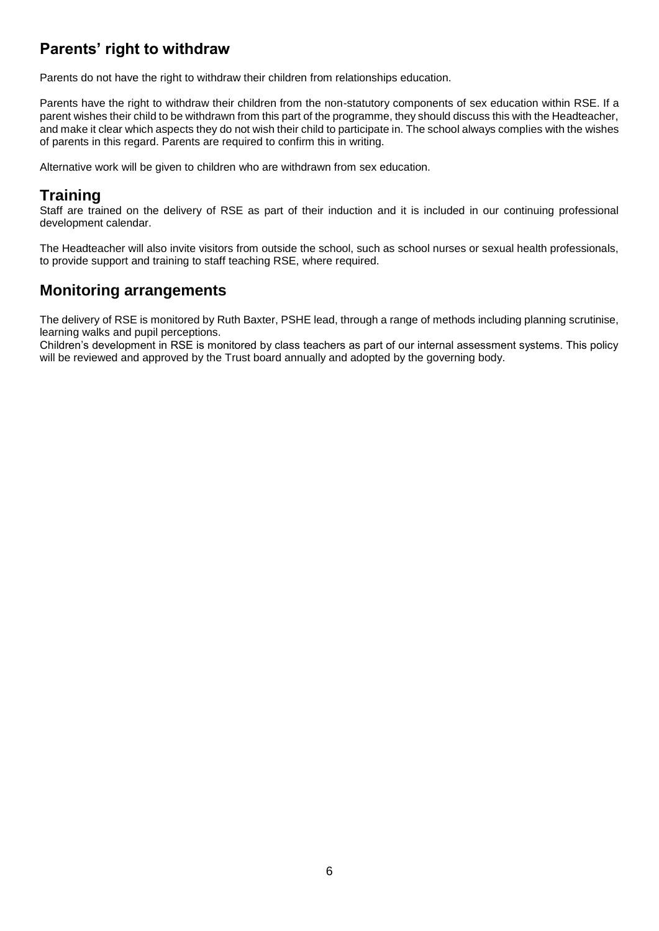# **Parents' right to withdraw**

Parents do not have the right to withdraw their children from relationships education.

Parents have the right to withdraw their children from the non-statutory components of sex education within RSE. If a parent wishes their child to be withdrawn from this part of the programme, they should discuss this with the Headteacher, and make it clear which aspects they do not wish their child to participate in. The school always complies with the wishes of parents in this regard. Parents are required to confirm this in writing.

Alternative work will be given to children who are withdrawn from sex education.

## **Training**

Staff are trained on the delivery of RSE as part of their induction and it is included in our continuing professional development calendar.

The Headteacher will also invite visitors from outside the school, such as school nurses or sexual health professionals, to provide support and training to staff teaching RSE, where required.

## **Monitoring arrangements**

The delivery of RSE is monitored by Ruth Baxter, PSHE lead, through a range of methods including planning scrutinise, learning walks and pupil perceptions.

Children's development in RSE is monitored by class teachers as part of our internal assessment systems. This policy will be reviewed and approved by the Trust board annually and adopted by the governing body.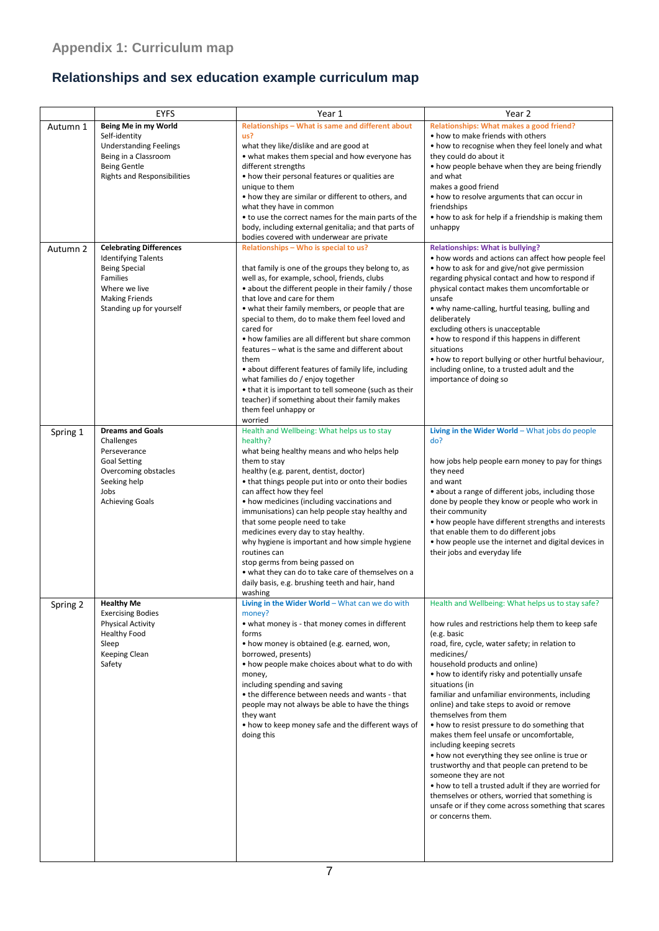# **Relationships and sex education example curriculum map**

|          | <b>EYFS</b>                                                                                                                                            | Year 1                                                                                                                                                                                                                                                                                                                                                                                                                                                                                                                                                                                                                                                        | Year 2                                                                                                                                                                                                                                                                                                                                                                                                                                                                                                                                                                                                                                                                                                                                                                                                                                                             |
|----------|--------------------------------------------------------------------------------------------------------------------------------------------------------|---------------------------------------------------------------------------------------------------------------------------------------------------------------------------------------------------------------------------------------------------------------------------------------------------------------------------------------------------------------------------------------------------------------------------------------------------------------------------------------------------------------------------------------------------------------------------------------------------------------------------------------------------------------|--------------------------------------------------------------------------------------------------------------------------------------------------------------------------------------------------------------------------------------------------------------------------------------------------------------------------------------------------------------------------------------------------------------------------------------------------------------------------------------------------------------------------------------------------------------------------------------------------------------------------------------------------------------------------------------------------------------------------------------------------------------------------------------------------------------------------------------------------------------------|
| Autumn 1 | Being Me in my World<br>Self-identity                                                                                                                  | Relationships - What is same and different about<br>us?                                                                                                                                                                                                                                                                                                                                                                                                                                                                                                                                                                                                       | Relationships: What makes a good friend?<br>• how to make friends with others                                                                                                                                                                                                                                                                                                                                                                                                                                                                                                                                                                                                                                                                                                                                                                                      |
|          | <b>Understanding Feelings</b><br>Being in a Classroom<br><b>Being Gentle</b>                                                                           | what they like/dislike and are good at<br>• what makes them special and how everyone has<br>different strengths                                                                                                                                                                                                                                                                                                                                                                                                                                                                                                                                               | • how to recognise when they feel lonely and what<br>they could do about it<br>• how people behave when they are being friendly                                                                                                                                                                                                                                                                                                                                                                                                                                                                                                                                                                                                                                                                                                                                    |
|          | <b>Rights and Responsibilities</b>                                                                                                                     | • how their personal features or qualities are<br>unique to them                                                                                                                                                                                                                                                                                                                                                                                                                                                                                                                                                                                              | and what<br>makes a good friend                                                                                                                                                                                                                                                                                                                                                                                                                                                                                                                                                                                                                                                                                                                                                                                                                                    |
|          |                                                                                                                                                        | • how they are similar or different to others, and<br>what they have in common                                                                                                                                                                                                                                                                                                                                                                                                                                                                                                                                                                                | • how to resolve arguments that can occur in<br>friendships                                                                                                                                                                                                                                                                                                                                                                                                                                                                                                                                                                                                                                                                                                                                                                                                        |
|          |                                                                                                                                                        | • to use the correct names for the main parts of the<br>body, including external genitalia; and that parts of<br>bodies covered with underwear are private                                                                                                                                                                                                                                                                                                                                                                                                                                                                                                    | • how to ask for help if a friendship is making them<br>unhappy                                                                                                                                                                                                                                                                                                                                                                                                                                                                                                                                                                                                                                                                                                                                                                                                    |
| Autumn 2 | <b>Celebrating Differences</b><br><b>Identifying Talents</b>                                                                                           | Relationships - Who is special to us?                                                                                                                                                                                                                                                                                                                                                                                                                                                                                                                                                                                                                         | <b>Relationships: What is bullying?</b><br>• how words and actions can affect how people feel                                                                                                                                                                                                                                                                                                                                                                                                                                                                                                                                                                                                                                                                                                                                                                      |
|          | <b>Being Special</b><br>Families<br>Where we live<br><b>Making Friends</b><br>Standing up for yourself                                                 | that family is one of the groups they belong to, as<br>well as, for example, school, friends, clubs<br>• about the different people in their family / those<br>that love and care for them<br>• what their family members, or people that are<br>special to them, do to make them feel loved and<br>cared for<br>• how families are all different but share common<br>features - what is the same and different about<br>them<br>• about different features of family life, including<br>what families do / enjoy together<br>• that it is important to tell someone (such as their<br>teacher) if something about their family makes<br>them feel unhappy or | • how to ask for and give/not give permission<br>regarding physical contact and how to respond if<br>physical contact makes them uncomfortable or<br>unsafe<br>• why name-calling, hurtful teasing, bulling and<br>deliberately<br>excluding others is unacceptable<br>• how to respond if this happens in different<br>situations<br>• how to report bullying or other hurtful behaviour,<br>including online, to a trusted adult and the<br>importance of doing so                                                                                                                                                                                                                                                                                                                                                                                               |
|          |                                                                                                                                                        | worried                                                                                                                                                                                                                                                                                                                                                                                                                                                                                                                                                                                                                                                       | Living in the Wider World - What jobs do people                                                                                                                                                                                                                                                                                                                                                                                                                                                                                                                                                                                                                                                                                                                                                                                                                    |
| Spring 1 | <b>Dreams and Goals</b><br>Challenges<br>Perseverance<br><b>Goal Setting</b><br>Overcoming obstacles<br>Seeking help<br>Jobs<br><b>Achieving Goals</b> | Health and Wellbeing: What helps us to stay<br>healthy?<br>what being healthy means and who helps help<br>them to stay<br>healthy (e.g. parent, dentist, doctor)<br>• that things people put into or onto their bodies<br>can affect how they feel<br>• how medicines (including vaccinations and<br>immunisations) can help people stay healthy and<br>that some people need to take<br>medicines every day to stay healthy.<br>why hygiene is important and how simple hygiene<br>routines can<br>stop germs from being passed on<br>• what they can do to take care of themselves on a<br>daily basis, e.g. brushing teeth and hair, hand<br>washing       | do?<br>how jobs help people earn money to pay for things<br>they need<br>and want<br>• about a range of different jobs, including those<br>done by people they know or people who work in<br>their community<br>• how people have different strengths and interests<br>that enable them to do different jobs<br>• how people use the internet and digital devices in<br>their jobs and everyday life                                                                                                                                                                                                                                                                                                                                                                                                                                                               |
| Spring 2 | <b>Healthy Me</b><br><b>Exercising Bodies</b><br><b>Physical Activity</b><br><b>Healthy Food</b><br>Sleep<br>Keeping Clean<br>Safety                   | Living in the Wider World - What can we do with<br>money?<br>• what money is - that money comes in different<br>forms<br>• how money is obtained (e.g. earned, won,<br>borrowed, presents)<br>• how people make choices about what to do with<br>money,<br>including spending and saving<br>• the difference between needs and wants - that<br>people may not always be able to have the things<br>they want<br>• how to keep money safe and the different ways of<br>doing this                                                                                                                                                                              | Health and Wellbeing: What helps us to stay safe?<br>how rules and restrictions help them to keep safe<br>(e.g. basic<br>road, fire, cycle, water safety; in relation to<br>medicines/<br>household products and online)<br>• how to identify risky and potentially unsafe<br>situations (in<br>familiar and unfamiliar environments, including<br>online) and take steps to avoid or remove<br>themselves from them<br>• how to resist pressure to do something that<br>makes them feel unsafe or uncomfortable,<br>including keeping secrets<br>• how not everything they see online is true or<br>trustworthy and that people can pretend to be<br>someone they are not<br>• how to tell a trusted adult if they are worried for<br>themselves or others, worried that something is<br>unsafe or if they come across something that scares<br>or concerns them. |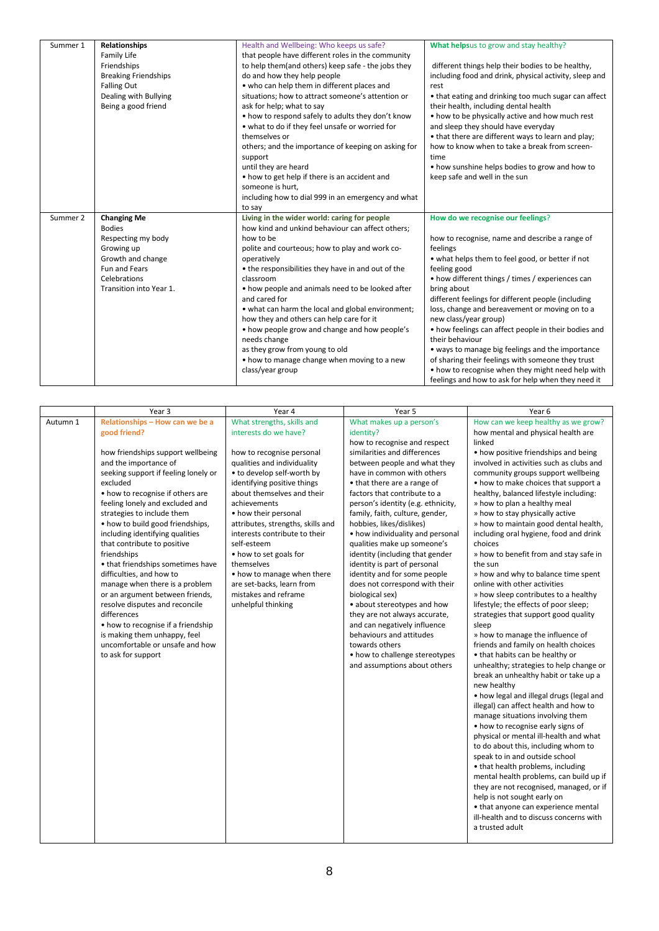| Summer 1 | Relationships               | Health and Wellbeing: Who keeps us safe?                      | What helpsus to grow and stay healthy?                                  |
|----------|-----------------------------|---------------------------------------------------------------|-------------------------------------------------------------------------|
|          | Family Life                 | that people have different roles in the community             |                                                                         |
|          | Friendships                 | to help them(and others) keep safe - the jobs they            | different things help their bodies to be healthy,                       |
|          | <b>Breaking Friendships</b> | do and how they help people                                   | including food and drink, physical activity, sleep and                  |
|          | <b>Falling Out</b>          | • who can help them in different places and                   | rest                                                                    |
|          | Dealing with Bullying       | situations; how to attract someone's attention or             | • that eating and drinking too much sugar can affect                    |
|          | Being a good friend         | ask for help; what to say                                     | their health, including dental health                                   |
|          |                             | • how to respond safely to adults they don't know             | • how to be physically active and how much rest                         |
|          |                             | • what to do if they feel unsafe or worried for               | and sleep they should have everyday                                     |
|          |                             | themselves or                                                 | • that there are different ways to learn and play;                      |
|          |                             | others; and the importance of keeping on asking for           | how to know when to take a break from screen-                           |
|          |                             | support                                                       | time                                                                    |
|          |                             | until they are heard                                          | • how sunshine helps bodies to grow and how to                          |
|          |                             | • how to get help if there is an accident and                 | keep safe and well in the sun                                           |
|          |                             | someone is hurt,                                              |                                                                         |
|          |                             | including how to dial 999 in an emergency and what            |                                                                         |
|          |                             | to say                                                        |                                                                         |
|          |                             |                                                               |                                                                         |
| Summer 2 | <b>Changing Me</b>          | Living in the wider world: caring for people                  | How do we recognise our feelings?                                       |
|          | <b>Bodies</b>               | how kind and unkind behaviour can affect others;              |                                                                         |
|          | Respecting my body          | how to be                                                     | how to recognise, name and describe a range of                          |
|          | Growing up                  | polite and courteous; how to play and work co-                | feelings                                                                |
|          | Growth and change           | operatively                                                   | • what helps them to feel good, or better if not                        |
|          | Fun and Fears               | • the responsibilities they have in and out of the            | feeling good                                                            |
|          | Celebrations                | classroom                                                     | • how different things / times / experiences can                        |
|          | Transition into Year 1.     | • how people and animals need to be looked after              | bring about                                                             |
|          |                             | and cared for                                                 | different feelings for different people (including                      |
|          |                             | • what can harm the local and global environment;             | loss, change and bereavement or moving on to a                          |
|          |                             | how they and others can help care for it                      | new class/year group)                                                   |
|          |                             | • how people grow and change and how people's<br>needs change | • how feelings can affect people in their bodies and<br>their behaviour |
|          |                             | as they grow from young to old                                | • ways to manage big feelings and the importance                        |
|          |                             | • how to manage change when moving to a new                   | of sharing their feelings with someone they trust                       |
|          |                             | class/year group                                              | • how to recognise when they might need help with                       |

|          | Year 3                                                                                                                                                                                                                                                                                                                                                                                                                                                                                                                                                                                                                                                                                                            | Year 4                                                                                                                                                                                                                                                                                                                                                                                                                                                                                   | Year 5                                                                                                                                                                                                                                                                                                                                                                                                                                                                                                                                                                                                                                                                                                                                                                             | Year <sub>6</sub>                                                                                                                                                                                                                                                                                                                                                                                                                                                                                                                                                                                                                                                                                                                                                                                                                                                                                                                                                                                                                                                                                                                                                                                                                                                                                                                                                                                                                                                                                |
|----------|-------------------------------------------------------------------------------------------------------------------------------------------------------------------------------------------------------------------------------------------------------------------------------------------------------------------------------------------------------------------------------------------------------------------------------------------------------------------------------------------------------------------------------------------------------------------------------------------------------------------------------------------------------------------------------------------------------------------|------------------------------------------------------------------------------------------------------------------------------------------------------------------------------------------------------------------------------------------------------------------------------------------------------------------------------------------------------------------------------------------------------------------------------------------------------------------------------------------|------------------------------------------------------------------------------------------------------------------------------------------------------------------------------------------------------------------------------------------------------------------------------------------------------------------------------------------------------------------------------------------------------------------------------------------------------------------------------------------------------------------------------------------------------------------------------------------------------------------------------------------------------------------------------------------------------------------------------------------------------------------------------------|--------------------------------------------------------------------------------------------------------------------------------------------------------------------------------------------------------------------------------------------------------------------------------------------------------------------------------------------------------------------------------------------------------------------------------------------------------------------------------------------------------------------------------------------------------------------------------------------------------------------------------------------------------------------------------------------------------------------------------------------------------------------------------------------------------------------------------------------------------------------------------------------------------------------------------------------------------------------------------------------------------------------------------------------------------------------------------------------------------------------------------------------------------------------------------------------------------------------------------------------------------------------------------------------------------------------------------------------------------------------------------------------------------------------------------------------------------------------------------------------------|
| Autumn 1 | Relationships - How can we be a<br>good friend?<br>how friendships support wellbeing<br>and the importance of<br>seeking support if feeling lonely or<br>excluded<br>• how to recognise if others are<br>feeling lonely and excluded and<br>strategies to include them<br>• how to build good friendships,<br>including identifying qualities<br>that contribute to positive<br>friendships<br>• that friendships sometimes have<br>difficulties, and how to<br>manage when there is a problem<br>or an argument between friends,<br>resolve disputes and reconcile<br>differences<br>• how to recognise if a friendship<br>is making them unhappy, feel<br>uncomfortable or unsafe and how<br>to ask for support | What strengths, skills and<br>interests do we have?<br>how to recognise personal<br>qualities and individuality<br>• to develop self-worth by<br>identifying positive things<br>about themselves and their<br>achievements<br>• how their personal<br>attributes, strengths, skills and<br>interests contribute to their<br>self-esteem<br>• how to set goals for<br>themselves<br>• how to manage when there<br>are set-backs, learn from<br>mistakes and reframe<br>unhelpful thinking | What makes up a person's<br>identity?<br>how to recognise and respect<br>similarities and differences<br>between people and what they<br>have in common with others<br>• that there are a range of<br>factors that contribute to a<br>person's identity (e.g. ethnicity,<br>family, faith, culture, gender,<br>hobbies, likes/dislikes)<br>• how individuality and personal<br>qualities make up someone's<br>identity (including that gender<br>identity is part of personal<br>identity and for some people<br>does not correspond with their<br>biological sex)<br>• about stereotypes and how<br>they are not always accurate,<br>and can negatively influence<br>behaviours and attitudes<br>towards others<br>• how to challenge stereotypes<br>and assumptions about others | How can we keep healthy as we grow?<br>how mental and physical health are<br>linked<br>• how positive friendships and being<br>involved in activities such as clubs and<br>community groups support wellbeing<br>• how to make choices that support a<br>healthy, balanced lifestyle including:<br>» how to plan a healthy meal<br>» how to stay physically active<br>» how to maintain good dental health,<br>including oral hygiene, food and drink<br>choices<br>» how to benefit from and stay safe in<br>the sun<br>» how and why to balance time spent<br>online with other activities<br>» how sleep contributes to a healthy<br>lifestyle; the effects of poor sleep;<br>strategies that support good quality<br>sleep<br>» how to manage the influence of<br>friends and family on health choices<br>• that habits can be healthy or<br>unhealthy; strategies to help change or<br>break an unhealthy habit or take up a<br>new healthy<br>• how legal and illegal drugs (legal and<br>illegal) can affect health and how to<br>manage situations involving them<br>• how to recognise early signs of<br>physical or mental ill-health and what<br>to do about this, including whom to<br>speak to in and outside school<br>• that health problems, including<br>mental health problems, can build up if<br>they are not recognised, managed, or if<br>help is not sought early on<br>• that anyone can experience mental<br>ill-health and to discuss concerns with<br>a trusted adult |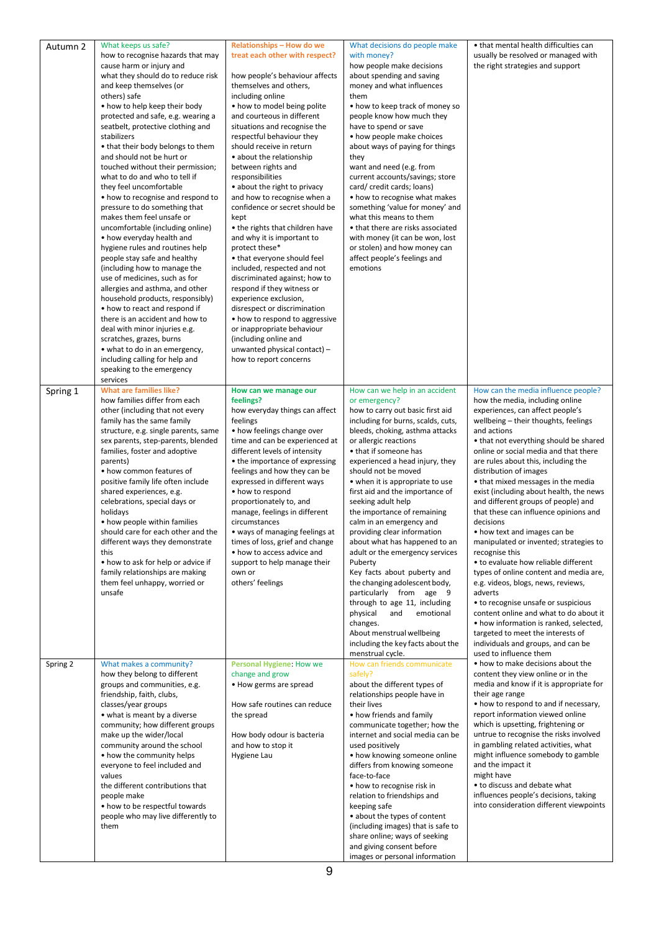| Autumn 2 | What keeps us safe?<br>how to recognise hazards that may<br>cause harm or injury and<br>what they should do to reduce risk<br>and keep themselves (or<br>others) safe<br>• how to help keep their body<br>protected and safe, e.g. wearing a<br>seatbelt, protective clothing and<br>stabilizers<br>• that their body belongs to them<br>and should not be hurt or<br>touched without their permission;<br>what to do and who to tell if<br>they feel uncomfortable<br>• how to recognise and respond to<br>pressure to do something that<br>makes them feel unsafe or<br>uncomfortable (including online)<br>• how everyday health and<br>hygiene rules and routines help<br>people stay safe and healthy<br>(including how to manage the<br>use of medicines, such as for<br>allergies and asthma, and other<br>household products, responsibly)<br>• how to react and respond if<br>there is an accident and how to<br>deal with minor injuries e.g.<br>scratches, grazes, burns<br>• what to do in an emergency,<br>including calling for help and<br>speaking to the emergency<br>services | Relationships - How do we<br>treat each other with respect?<br>how people's behaviour affects<br>themselves and others,<br>including online<br>• how to model being polite<br>and courteous in different<br>situations and recognise the<br>respectful behaviour they<br>should receive in return<br>• about the relationship<br>between rights and<br>responsibilities<br>• about the right to privacy<br>and how to recognise when a<br>confidence or secret should be<br>kept<br>• the rights that children have<br>and why it is important to<br>protect these*<br>• that everyone should feel<br>included, respected and not<br>discriminated against; how to<br>respond if they witness or<br>experience exclusion,<br>disrespect or discrimination<br>• how to respond to aggressive<br>or inappropriate behaviour<br>(including online and<br>unwanted physical contact) -<br>how to report concerns | What decisions do people make<br>with money?<br>how people make decisions<br>about spending and saving<br>money and what influences<br>them<br>• how to keep track of money so<br>people know how much they<br>have to spend or save<br>• how people make choices<br>about ways of paying for things<br>they<br>want and need (e.g. from<br>current accounts/savings; store<br>card/credit cards; loans)<br>• how to recognise what makes<br>something 'value for money' and<br>what this means to them<br>• that there are risks associated<br>with money (it can be won, lost<br>or stolen) and how money can<br>affect people's feelings and<br>emotions                                                                                                                                                | • that mental health difficulties can<br>usually be resolved or managed with<br>the right strategies and support                                                                                                                                                                                                                                                                                                                                                                                                                                                                                                                                                                                                                                                                                                                                                                                                                                                   |
|----------|-------------------------------------------------------------------------------------------------------------------------------------------------------------------------------------------------------------------------------------------------------------------------------------------------------------------------------------------------------------------------------------------------------------------------------------------------------------------------------------------------------------------------------------------------------------------------------------------------------------------------------------------------------------------------------------------------------------------------------------------------------------------------------------------------------------------------------------------------------------------------------------------------------------------------------------------------------------------------------------------------------------------------------------------------------------------------------------------------|--------------------------------------------------------------------------------------------------------------------------------------------------------------------------------------------------------------------------------------------------------------------------------------------------------------------------------------------------------------------------------------------------------------------------------------------------------------------------------------------------------------------------------------------------------------------------------------------------------------------------------------------------------------------------------------------------------------------------------------------------------------------------------------------------------------------------------------------------------------------------------------------------------------|------------------------------------------------------------------------------------------------------------------------------------------------------------------------------------------------------------------------------------------------------------------------------------------------------------------------------------------------------------------------------------------------------------------------------------------------------------------------------------------------------------------------------------------------------------------------------------------------------------------------------------------------------------------------------------------------------------------------------------------------------------------------------------------------------------|--------------------------------------------------------------------------------------------------------------------------------------------------------------------------------------------------------------------------------------------------------------------------------------------------------------------------------------------------------------------------------------------------------------------------------------------------------------------------------------------------------------------------------------------------------------------------------------------------------------------------------------------------------------------------------------------------------------------------------------------------------------------------------------------------------------------------------------------------------------------------------------------------------------------------------------------------------------------|
| Spring 1 | <b>What are families like?</b><br>how families differ from each<br>other (including that not every<br>family has the same family<br>structure, e.g. single parents, same<br>sex parents, step-parents, blended<br>families, foster and adoptive<br>parents)<br>• how common features of<br>positive family life often include<br>shared experiences, e.g.<br>celebrations, special days or<br>holidays<br>• how people within families<br>should care for each other and the<br>different ways they demonstrate<br>this<br>• how to ask for help or advice if<br>family relationships are making<br>them feel unhappy, worried or<br>unsafe                                                                                                                                                                                                                                                                                                                                                                                                                                                     | How can we manage our<br>feelings?<br>how everyday things can affect<br>feelings<br>• how feelings change over<br>time and can be experienced at<br>different levels of intensity<br>• the importance of expressing<br>feelings and how they can be<br>expressed in different ways<br>• how to respond<br>proportionately to, and<br>manage, feelings in different<br>circumstances<br>• ways of managing feelings at<br>times of loss, grief and change<br>• how to access advice and<br>support to help manage their<br>own or<br>others' feelings                                                                                                                                                                                                                                                                                                                                                         | How can we help in an accident<br>or emergency?<br>how to carry out basic first aid<br>including for burns, scalds, cuts,<br>bleeds, choking, asthma attacks<br>or allergic reactions<br>• that if someone has<br>experienced a head injury, they<br>should not be moved<br>• when it is appropriate to use<br>first aid and the importance of<br>seeking adult help<br>the importance of remaining<br>calm in an emergency and<br>providing clear information<br>about what has happened to an<br>adult or the emergency services<br>Puberty<br>Key facts about puberty and<br>the changing adolescent body,<br>particularly from age 9<br>through to age 11, including<br>physical<br>and<br>emotional<br>changes.<br>About menstrual wellbeing<br>including the key facts about the<br>menstrual cycle. | How can the media influence people?<br>how the media, including online<br>experiences, can affect people's<br>wellbeing – their thoughts, feelings<br>and actions<br>• that not everything should be shared<br>online or social media and that there<br>are rules about this, including the<br>distribution of images<br>• that mixed messages in the media<br>exist (including about health, the news<br>and different groups of people) and<br>that these can influence opinions and<br>decisions<br>• how text and images can be<br>manipulated or invented; strategies to<br>recognise this<br>• to evaluate how reliable different<br>types of online content and media are,<br>e.g. videos, blogs, news, reviews,<br>adverts<br>• to recognise unsafe or suspicious<br>content online and what to do about it<br>• how information is ranked, selected,<br>targeted to meet the interests of<br>individuals and groups, and can be<br>used to influence them |
| Spring 2 | What makes a community?<br>how they belong to different<br>groups and communities, e.g.<br>friendship, faith, clubs,<br>classes/year groups<br>• what is meant by a diverse<br>community; how different groups<br>make up the wider/local<br>community around the school<br>• how the community helps<br>everyone to feel included and<br>values<br>the different contributions that<br>people make<br>• how to be respectful towards<br>people who may live differently to<br>them                                                                                                                                                                                                                                                                                                                                                                                                                                                                                                                                                                                                             | Personal Hygiene: How we<br>change and grow<br>• How germs are spread<br>How safe routines can reduce<br>the spread<br>How body odour is bacteria<br>and how to stop it<br>Hygiene Lau                                                                                                                                                                                                                                                                                                                                                                                                                                                                                                                                                                                                                                                                                                                       | How can friends communicate<br>safely?<br>about the different types of<br>relationships people have in<br>their lives<br>• how friends and family<br>communicate together; how the<br>internet and social media can be<br>used positively<br>• how knowing someone online<br>differs from knowing someone<br>face-to-face<br>• how to recognise risk in<br>relation to friendships and<br>keeping safe<br>• about the types of content<br>(including images) that is safe to<br>share online; ways of seeking<br>and giving consent before<br>images or personal information                                                                                                                                                                                                                               | • how to make decisions about the<br>content they view online or in the<br>media and know if it is appropriate for<br>their age range<br>• how to respond to and if necessary,<br>report information viewed online<br>which is upsetting, frightening or<br>untrue to recognise the risks involved<br>in gambling related activities, what<br>might influence somebody to gamble<br>and the impact it<br>might have<br>• to discuss and debate what<br>influences people's decisions, taking<br>into consideration different viewpoints                                                                                                                                                                                                                                                                                                                                                                                                                            |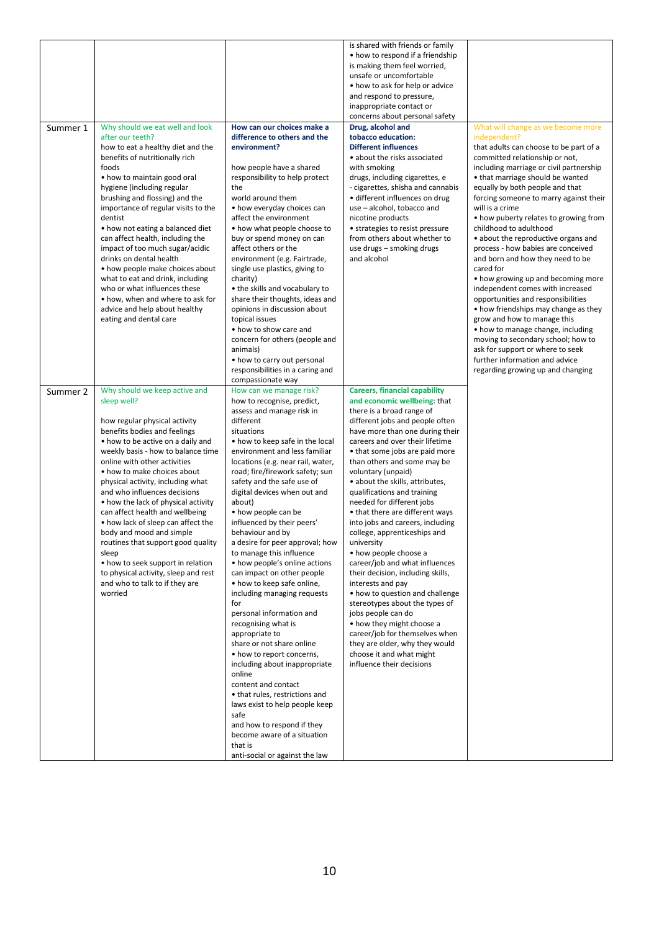| Summer 1 | Why should we eat well and look                                                                                                                                                                                                                                                                                                                                                                                                                                                                                                                                                                                                                   | How can our choices make a                                                                                                                                                                                                                                                                                                                                                                                                                                                                                                                                                                                                                                                                                                                                                                                                                                                                                                                                                                          | is shared with friends or family<br>• how to respond if a friendship<br>is making them feel worried,<br>unsafe or uncomfortable<br>• how to ask for help or advice<br>and respond to pressure,<br>inappropriate contact or<br>concerns about personal safety<br>Drug, alcohol and                                                                                                                                                                                                                                                                                                                                                                                                                                                                                                                                                                                                               | What will change as we become more                                                                                                                                                                                                                                                                                                                                                                                                                                                                                                                                                                                                                                                                                                                                                                                                                    |
|----------|---------------------------------------------------------------------------------------------------------------------------------------------------------------------------------------------------------------------------------------------------------------------------------------------------------------------------------------------------------------------------------------------------------------------------------------------------------------------------------------------------------------------------------------------------------------------------------------------------------------------------------------------------|-----------------------------------------------------------------------------------------------------------------------------------------------------------------------------------------------------------------------------------------------------------------------------------------------------------------------------------------------------------------------------------------------------------------------------------------------------------------------------------------------------------------------------------------------------------------------------------------------------------------------------------------------------------------------------------------------------------------------------------------------------------------------------------------------------------------------------------------------------------------------------------------------------------------------------------------------------------------------------------------------------|-------------------------------------------------------------------------------------------------------------------------------------------------------------------------------------------------------------------------------------------------------------------------------------------------------------------------------------------------------------------------------------------------------------------------------------------------------------------------------------------------------------------------------------------------------------------------------------------------------------------------------------------------------------------------------------------------------------------------------------------------------------------------------------------------------------------------------------------------------------------------------------------------|-------------------------------------------------------------------------------------------------------------------------------------------------------------------------------------------------------------------------------------------------------------------------------------------------------------------------------------------------------------------------------------------------------------------------------------------------------------------------------------------------------------------------------------------------------------------------------------------------------------------------------------------------------------------------------------------------------------------------------------------------------------------------------------------------------------------------------------------------------|
|          | after our teeth?<br>how to eat a healthy diet and the<br>benefits of nutritionally rich<br>foods<br>• how to maintain good oral<br>hygiene (including regular<br>brushing and flossing) and the<br>importance of regular visits to the<br>dentist<br>• how not eating a balanced diet<br>can affect health, including the<br>impact of too much sugar/acidic<br>drinks on dental health<br>• how people make choices about<br>what to eat and drink, including<br>who or what influences these<br>• how, when and where to ask for<br>advice and help about healthy<br>eating and dental care                                                     | difference to others and the<br>environment?<br>how people have a shared<br>responsibility to help protect<br>the<br>world around them<br>• how everyday choices can<br>affect the environment<br>• how what people choose to<br>buy or spend money on can<br>affect others or the<br>environment (e.g. Fairtrade,<br>single use plastics, giving to<br>charity)<br>• the skills and vocabulary to<br>share their thoughts, ideas and<br>opinions in discussion about<br>topical issues<br>• how to show care and<br>concern for others (people and<br>animals)<br>• how to carry out personal<br>responsibilities in a caring and<br>compassionate way                                                                                                                                                                                                                                                                                                                                             | tobacco education:<br><b>Different influences</b><br>• about the risks associated<br>with smoking<br>drugs, including cigarettes, e<br>- cigarettes, shisha and cannabis<br>· different influences on drug<br>use - alcohol, tobacco and<br>nicotine products<br>• strategies to resist pressure<br>from others about whether to<br>use drugs - smoking drugs<br>and alcohol                                                                                                                                                                                                                                                                                                                                                                                                                                                                                                                    | independent?<br>that adults can choose to be part of a<br>committed relationship or not,<br>including marriage or civil partnership<br>• that marriage should be wanted<br>equally by both people and that<br>forcing someone to marry against their<br>will is a crime<br>• how puberty relates to growing from<br>childhood to adulthood<br>• about the reproductive organs and<br>process - how babies are conceived<br>and born and how they need to be<br>cared for<br>• how growing up and becoming more<br>independent comes with increased<br>opportunities and responsibilities<br>• how friendships may change as they<br>grow and how to manage this<br>• how to manage change, including<br>moving to secondary school; how to<br>ask for support or where to seek<br>further information and advice<br>regarding growing up and changing |
| Summer 2 | Why should we keep active and<br>sleep well?<br>how regular physical activity<br>benefits bodies and feelings<br>• how to be active on a daily and<br>weekly basis - how to balance time<br>online with other activities<br>• how to make choices about<br>physical activity, including what<br>and who influences decisions<br>• how the lack of physical activity<br>can affect health and wellbeing<br>• how lack of sleep can affect the<br>body and mood and simple<br>routines that support good quality<br>sleep<br>• how to seek support in relation<br>to physical activity, sleep and rest<br>and who to talk to if they are<br>worried | How can we manage risk?<br>how to recognise, predict,<br>assess and manage risk in<br>different<br>situations<br>• how to keep safe in the local<br>environment and less familiar<br>locations (e.g. near rail, water,<br>road; fire/firework safety; sun<br>safety and the safe use of<br>digital devices when out and<br>about)<br>• how people can be<br>influenced by their peers'<br>behaviour and by<br>a desire for peer approval; how<br>to manage this influence<br>• how people's online actions<br>can impact on other people<br>• how to keep safe online,<br>including managing requests<br>for<br>personal information and<br>recognising what is<br>appropriate to<br>share or not share online<br>• how to report concerns,<br>including about inappropriate<br>online<br>content and contact<br>• that rules, restrictions and<br>laws exist to help people keep<br>safe<br>and how to respond if they<br>become aware of a situation<br>that is<br>anti-social or against the law | <b>Careers, financial capability</b><br>and economic wellbeing: that<br>there is a broad range of<br>different jobs and people often<br>have more than one during their<br>careers and over their lifetime<br>• that some jobs are paid more<br>than others and some may be<br>voluntary (unpaid)<br>• about the skills, attributes,<br>qualifications and training<br>needed for different jobs<br>• that there are different ways<br>into jobs and careers, including<br>college, apprenticeships and<br>university<br>• how people choose a<br>career/job and what influences<br>their decision, including skills,<br>interests and pay<br>• how to question and challenge<br>stereotypes about the types of<br>jobs people can do<br>• how they might choose a<br>career/job for themselves when<br>they are older, why they would<br>choose it and what might<br>influence their decisions |                                                                                                                                                                                                                                                                                                                                                                                                                                                                                                                                                                                                                                                                                                                                                                                                                                                       |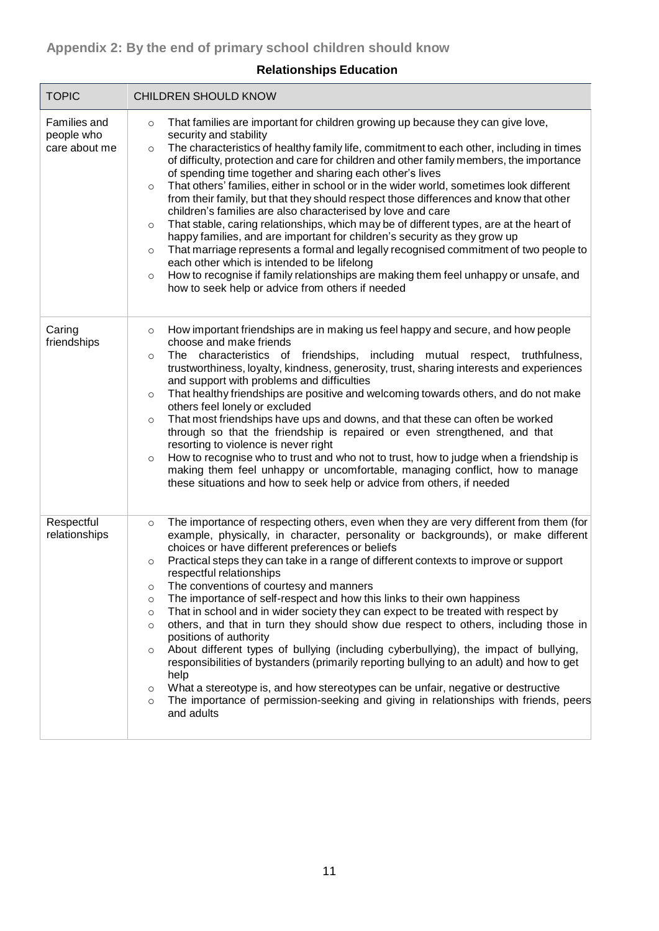г

| <b>TOPIC</b>                                | <b>CHILDREN SHOULD KNOW</b>                                                                                                                                                                                                                                                                                                                                                                                                                                                                                                                                                                                                                                                                                                                                                                                                                                                                                                                                                                                                                                                                                                                            |
|---------------------------------------------|--------------------------------------------------------------------------------------------------------------------------------------------------------------------------------------------------------------------------------------------------------------------------------------------------------------------------------------------------------------------------------------------------------------------------------------------------------------------------------------------------------------------------------------------------------------------------------------------------------------------------------------------------------------------------------------------------------------------------------------------------------------------------------------------------------------------------------------------------------------------------------------------------------------------------------------------------------------------------------------------------------------------------------------------------------------------------------------------------------------------------------------------------------|
| Families and<br>people who<br>care about me | That families are important for children growing up because they can give love,<br>$\circ$<br>security and stability<br>The characteristics of healthy family life, commitment to each other, including in times<br>$\circ$<br>of difficulty, protection and care for children and other family members, the importance<br>of spending time together and sharing each other's lives<br>That others' families, either in school or in the wider world, sometimes look different<br>$\circ$<br>from their family, but that they should respect those differences and know that other<br>children's families are also characterised by love and care<br>That stable, caring relationships, which may be of different types, are at the heart of<br>$\circ$<br>happy families, and are important for children's security as they grow up<br>That marriage represents a formal and legally recognised commitment of two people to<br>$\circ$<br>each other which is intended to be lifelong<br>How to recognise if family relationships are making them feel unhappy or unsafe, and<br>$\circ$<br>how to seek help or advice from others if needed          |
| Caring<br>friendships                       | How important friendships are in making us feel happy and secure, and how people<br>$\circ$<br>choose and make friends<br>The characteristics of friendships, including mutual respect, truthfulness,<br>$\circ$<br>trustworthiness, loyalty, kindness, generosity, trust, sharing interests and experiences<br>and support with problems and difficulties<br>That healthy friendships are positive and welcoming towards others, and do not make<br>O<br>others feel lonely or excluded<br>That most friendships have ups and downs, and that these can often be worked<br>$\circ$<br>through so that the friendship is repaired or even strengthened, and that<br>resorting to violence is never right<br>How to recognise who to trust and who not to trust, how to judge when a friendship is<br>$\circ$<br>making them feel unhappy or uncomfortable, managing conflict, how to manage<br>these situations and how to seek help or advice from others, if needed                                                                                                                                                                                  |
| Respectful<br>relationships                 | The importance of respecting others, even when they are very different from them (for<br>$\circ$<br>example, physically, in character, personality or backgrounds), or make different<br>choices or have different preferences or beliefs<br>Practical steps they can take in a range of different contexts to improve or support<br>$\circ$<br>respectful relationships<br>The conventions of courtesy and manners<br>O<br>The importance of self-respect and how this links to their own happiness<br>O<br>That in school and in wider society they can expect to be treated with respect by<br>$\circ$<br>others, and that in turn they should show due respect to others, including those in<br>$\circ$<br>positions of authority<br>About different types of bullying (including cyberbullying), the impact of bullying,<br>$\circ$<br>responsibilities of bystanders (primarily reporting bullying to an adult) and how to get<br>help<br>What a stereotype is, and how stereotypes can be unfair, negative or destructive<br>O<br>The importance of permission-seeking and giving in relationships with friends, peers<br>$\circ$<br>and adults |

# **Relationships Education**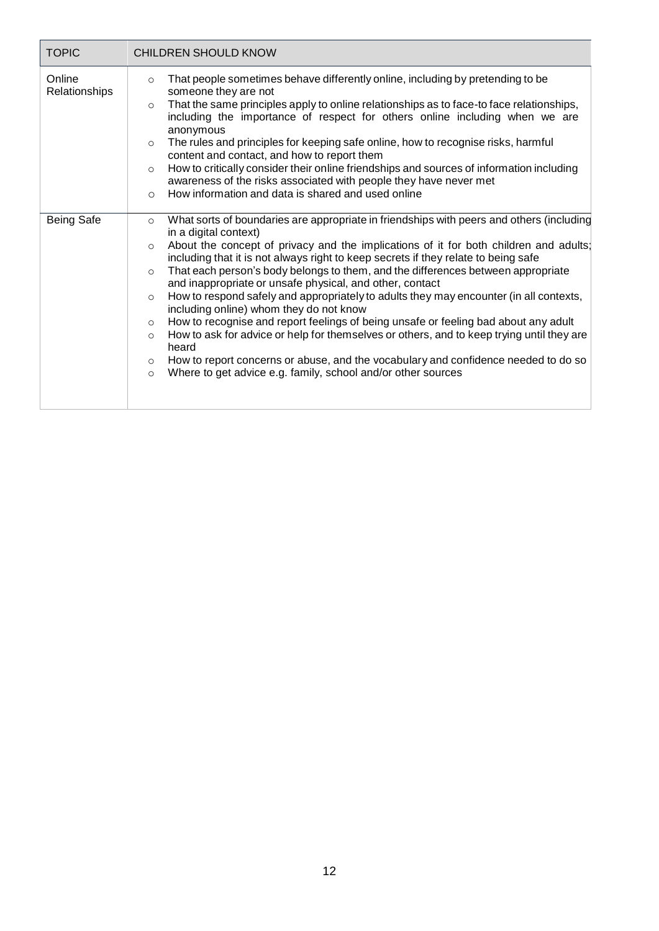| <b>TOPIC</b>            | <b>CHILDREN SHOULD KNOW</b>                                                                                                                                                                                                                                                                                                                                                                                                                                                                                                                                                                                                                                                                                                                                                                                                                                                                                                                                                                                                      |
|-------------------------|----------------------------------------------------------------------------------------------------------------------------------------------------------------------------------------------------------------------------------------------------------------------------------------------------------------------------------------------------------------------------------------------------------------------------------------------------------------------------------------------------------------------------------------------------------------------------------------------------------------------------------------------------------------------------------------------------------------------------------------------------------------------------------------------------------------------------------------------------------------------------------------------------------------------------------------------------------------------------------------------------------------------------------|
| Online<br>Relationships | That people sometimes behave differently online, including by pretending to be<br>$\circ$<br>someone they are not<br>That the same principles apply to online relationships as to face-to face relationships,<br>$\circ$<br>including the importance of respect for others online including when we are<br>anonymous<br>The rules and principles for keeping safe online, how to recognise risks, harmful<br>$\circ$<br>content and contact, and how to report them<br>How to critically consider their online friendships and sources of information including<br>$\circ$<br>awareness of the risks associated with people they have never met<br>How information and data is shared and used online<br>$\circ$                                                                                                                                                                                                                                                                                                                 |
| <b>Being Safe</b>       | What sorts of boundaries are appropriate in friendships with peers and others (including<br>$\circ$<br>in a digital context)<br>About the concept of privacy and the implications of it for both children and adults;<br>$\circ$<br>including that it is not always right to keep secrets if they relate to being safe<br>That each person's body belongs to them, and the differences between appropriate<br>$\circ$<br>and inappropriate or unsafe physical, and other, contact<br>How to respond safely and appropriately to adults they may encounter (in all contexts,<br>$\circ$<br>including online) whom they do not know<br>How to recognise and report feelings of being unsafe or feeling bad about any adult<br>$\circ$<br>How to ask for advice or help for themselves or others, and to keep trying until they are<br>$\circ$<br>heard<br>How to report concerns or abuse, and the vocabulary and confidence needed to do so<br>$\circ$<br>Where to get advice e.g. family, school and/or other sources<br>$\circ$ |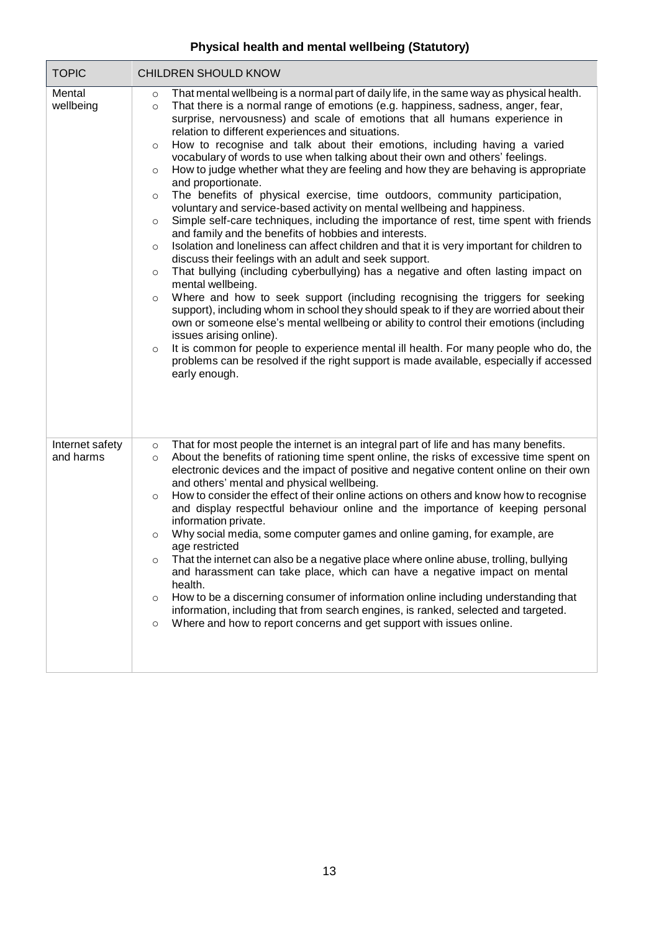# **Physical health and mental wellbeing (Statutory)**

| <b>TOPIC</b>                 | CHILDREN SHOULD KNOW                                                                                                                                                                                                                                                                                                                                                                                                                                                                                                                                                                                                                                                                                                                                                                                                                                                                                                                                                                                                                                                                                                                                                                                                                                                                                                                                                                                                                                                                                                                                                                                                                                                                                                                                                                         |
|------------------------------|----------------------------------------------------------------------------------------------------------------------------------------------------------------------------------------------------------------------------------------------------------------------------------------------------------------------------------------------------------------------------------------------------------------------------------------------------------------------------------------------------------------------------------------------------------------------------------------------------------------------------------------------------------------------------------------------------------------------------------------------------------------------------------------------------------------------------------------------------------------------------------------------------------------------------------------------------------------------------------------------------------------------------------------------------------------------------------------------------------------------------------------------------------------------------------------------------------------------------------------------------------------------------------------------------------------------------------------------------------------------------------------------------------------------------------------------------------------------------------------------------------------------------------------------------------------------------------------------------------------------------------------------------------------------------------------------------------------------------------------------------------------------------------------------|
| Mental<br>wellbeing          | That mental wellbeing is a normal part of daily life, in the same way as physical health.<br>$\circ$<br>That there is a normal range of emotions (e.g. happiness, sadness, anger, fear,<br>$\circ$<br>surprise, nervousness) and scale of emotions that all humans experience in<br>relation to different experiences and situations.<br>How to recognise and talk about their emotions, including having a varied<br>$\circ$<br>vocabulary of words to use when talking about their own and others' feelings.<br>How to judge whether what they are feeling and how they are behaving is appropriate<br>$\circ$<br>and proportionate.<br>The benefits of physical exercise, time outdoors, community participation,<br>$\circ$<br>voluntary and service-based activity on mental wellbeing and happiness.<br>Simple self-care techniques, including the importance of rest, time spent with friends<br>$\circ$<br>and family and the benefits of hobbies and interests.<br>Isolation and loneliness can affect children and that it is very important for children to<br>$\circ$<br>discuss their feelings with an adult and seek support.<br>That bullying (including cyberbullying) has a negative and often lasting impact on<br>$\circ$<br>mental wellbeing.<br>Where and how to seek support (including recognising the triggers for seeking<br>$\circ$<br>support), including whom in school they should speak to if they are worried about their<br>own or someone else's mental wellbeing or ability to control their emotions (including<br>issues arising online).<br>It is common for people to experience mental ill health. For many people who do, the<br>$\circ$<br>problems can be resolved if the right support is made available, especially if accessed<br>early enough. |
| Internet safety<br>and harms | That for most people the internet is an integral part of life and has many benefits.<br>$\circ$<br>About the benefits of rationing time spent online, the risks of excessive time spent on<br>$\circ$<br>electronic devices and the impact of positive and negative content online on their own<br>and others' mental and physical wellbeing.<br>How to consider the effect of their online actions on others and know how to recognise<br>$\circ$<br>and display respectful behaviour online and the importance of keeping personal<br>information private.<br>Why social media, some computer games and online gaming, for example, are<br>$\circ$<br>age restricted<br>That the internet can also be a negative place where online abuse, trolling, bullying<br>and harassment can take place, which can have a negative impact on mental<br>health.<br>How to be a discerning consumer of information online including understanding that<br>$\circ$<br>information, including that from search engines, is ranked, selected and targeted.<br>Where and how to report concerns and get support with issues online.<br>$\circ$                                                                                                                                                                                                                                                                                                                                                                                                                                                                                                                                                                                                                                                            |